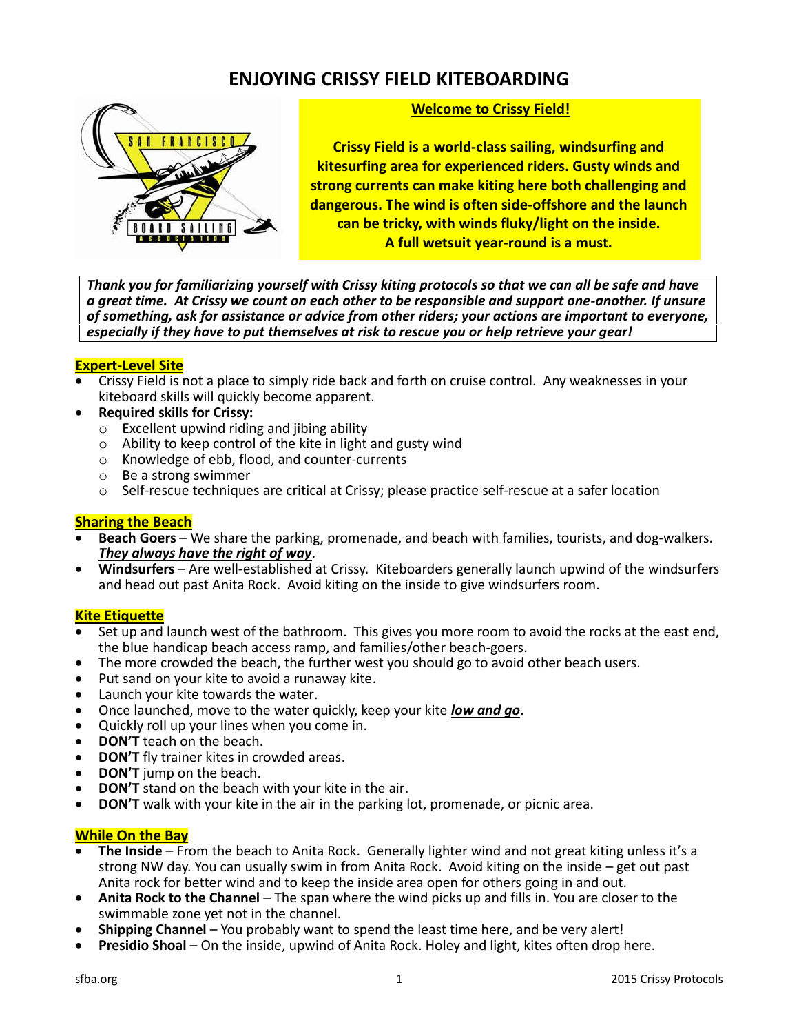# **ENJOYING CRISSY FIELD KITEBOARDING**



### **Welcome to Crissy Field!**

**Crissy Field is a world-class sailing, windsurfing and kitesurfing area for experienced riders. Gusty winds and strong currents can make kiting here both challenging and dangerous. The wind is often side-offshore and the launch can be tricky, with winds fluky/light on the inside. A full wetsuit year-round is a must.**

*Thank you for familiarizing yourself with Crissy kiting protocols so that we can all be safe and have a great time. At Crissy we count on each other to be responsible and support one-another. If unsure of something, ask for assistance or advice from other riders; your actions are important to everyone, especially if they have to put themselves at risk to rescue you or help retrieve your gear!*

#### **Expert-Level Site**

- Crissy Field is not a place to simply ride back and forth on cruise control. Any weaknesses in your kiteboard skills will quickly become apparent.
- **Required skills for Crissy:**
	- o Excellent upwind riding and jibing ability
	- o Ability to keep control of the kite in light and gusty wind
	- o Knowledge of ebb, flood, and counter-currents
	- o Be a strong swimmer
	- o Self-rescue techniques are critical at Crissy; please practice self-rescue at a safer location

### **Sharing the Beach**

- **Beach Goers**  We share the parking, promenade, and beach with families, tourists, and dog-walkers. *They always have the right of way*.
- **Windsurfers**  Are well-established at Crissy. Kiteboarders generally launch upwind of the windsurfers and head out past Anita Rock. Avoid kiting on the inside to give windsurfers room.

## **Kite Etiquette**

- Set up and launch west of the bathroom. This gives you more room to avoid the rocks at the east end, the blue handicap beach access ramp, and families/other beach-goers.
- The more crowded the beach, the further west you should go to avoid other beach users.
- Put sand on your kite to avoid a runaway kite.
- Launch your kite towards the water.
- Once launched, move to the water quickly, keep your kite *low and go*.
- Quickly roll up your lines when you come in.
- **DON'T** teach on the beach.
- **DON'T** fly trainer kites in crowded areas.
- **DON'T** jump on the beach.
- **DON'T** stand on the beach with your kite in the air.
- **DON'T** walk with your kite in the air in the parking lot, promenade, or picnic area.

## **While On the Bay**

- **The Inside**  From the beach to Anita Rock. Generally lighter wind and not great kiting unless it's a strong NW day. You can usually swim in from Anita Rock. Avoid kiting on the inside – get out past Anita rock for better wind and to keep the inside area open for others going in and out.
- **Anita Rock to the Channel** The span where the wind picks up and fills in. You are closer to the swimmable zone yet not in the channel.
- **Shipping Channel**  You probably want to spend the least time here, and be very alert!
- **Presidio Shoal –** On the inside, upwind of Anita Rock. Holey and light, kites often drop here.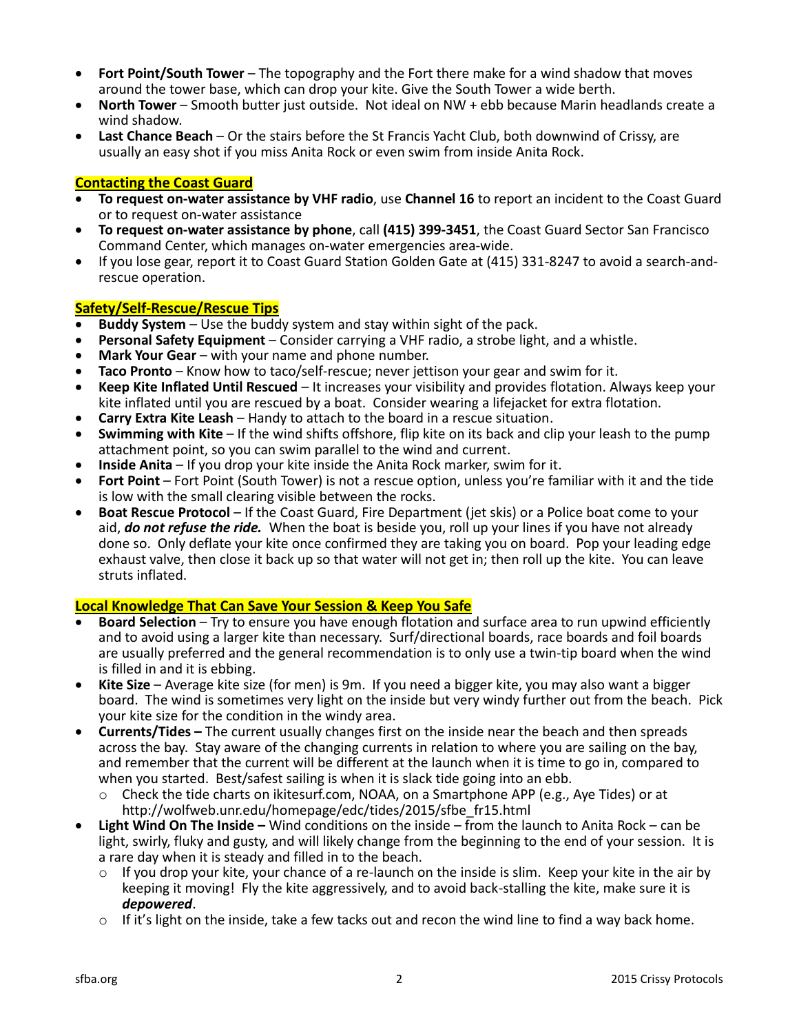- **Fort Point/South Tower** The topography and the Fort there make for a wind shadow that moves around the tower base, which can drop your kite. Give the South Tower a wide berth.
- **North Tower**  Smooth butter just outside. Not ideal on NW + ebb because Marin headlands create a wind shadow.
- **Last Chance Beach**  Or the stairs before the St Francis Yacht Club, both downwind of Crissy, are usually an easy shot if you miss Anita Rock or even swim from inside Anita Rock.

#### **Contacting the Coast Guard**

- **To request on-water assistance by VHF radio**, use **Channel 16** to report an incident to the Coast Guard or to request on-water assistance
- **To request on-water assistance by phone**, call **(415) 399-3451**, the Coast Guard Sector San Francisco Command Center, which manages on-water emergencies area-wide.
- If you lose gear, report it to Coast Guard Station Golden Gate at (415) 331-8247 to avoid a search-andrescue operation.

#### **Safety/Self-Rescue/Rescue Tips**

- **Buddy System**  Use the buddy system and stay within sight of the pack.
- **Personal Safety Equipment**  Consider carrying a VHF radio, a strobe light, and a whistle.
- Mark Your Gear with your name and phone number.
- **Taco Pronto**  Know how to taco/self-rescue; never jettison your gear and swim for it.
- **Keep Kite Inflated Until Rescued** It increases your visibility and provides flotation. Always keep your kite inflated until you are rescued by a boat. Consider wearing a lifejacket for extra flotation.
- **Carry Extra Kite Leash**  Handy to attach to the board in a rescue situation.
- **Swimming with Kite**  If the wind shifts offshore, flip kite on its back and clip your leash to the pump attachment point, so you can swim parallel to the wind and current.
- **Inside Anita**  If you drop your kite inside the Anita Rock marker, swim for it.
- **Fort Point**  Fort Point (South Tower) is not a rescue option, unless you're familiar with it and the tide is low with the small clearing visible between the rocks.
- **Boat Rescue Protocol**  If the Coast Guard, Fire Department (jet skis) or a Police boat come to your aid, *do not refuse the ride.*When the boat is beside you, roll up your lines if you have not already done so. Only deflate your kite once confirmed they are taking you on board. Pop your leading edge exhaust valve, then close it back up so that water will not get in; then roll up the kite. You can leave struts inflated.

#### **Local Knowledge That Can Save Your Session & Keep You Safe**

- **Board Selection** Try to ensure you have enough flotation and surface area to run upwind efficiently and to avoid using a larger kite than necessary. Surf/directional boards, race boards and foil boards are usually preferred and the general recommendation is to only use a twin-tip board when the wind is filled in and it is ebbing.
- **Kite Size** Average kite size (for men) is 9m. If you need a bigger kite, you may also want a bigger board. The wind is sometimes very light on the inside but very windy further out from the beach. Pick your kite size for the condition in the windy area.
- **Currents/Tides –** The current usually changes first on the inside near the beach and then spreads across the bay. Stay aware of the changing currents in relation to where you are sailing on the bay, and remember that the current will be different at the launch when it is time to go in, compared to when you started. Best/safest sailing is when it is slack tide going into an ebb.
	- o Check the tide charts on ikitesurf.com, NOAA, on a Smartphone APP (e.g., Aye Tides) or at http://wolfweb.unr.edu/homepage/edc/tides/2015/sfbe\_fr15.html
- **Light Wind On The Inside –** Wind conditions on the inside from the launch to Anita Rock can be light, swirly, fluky and gusty, and will likely change from the beginning to the end of your session. It is a rare day when it is steady and filled in to the beach.
	- $\circ$  If you drop your kite, your chance of a re-launch on the inside is slim. Keep your kite in the air by keeping it moving! Fly the kite aggressively, and to avoid back-stalling the kite, make sure it is *depowered*.
	- $\circ$  If it's light on the inside, take a few tacks out and recon the wind line to find a way back home.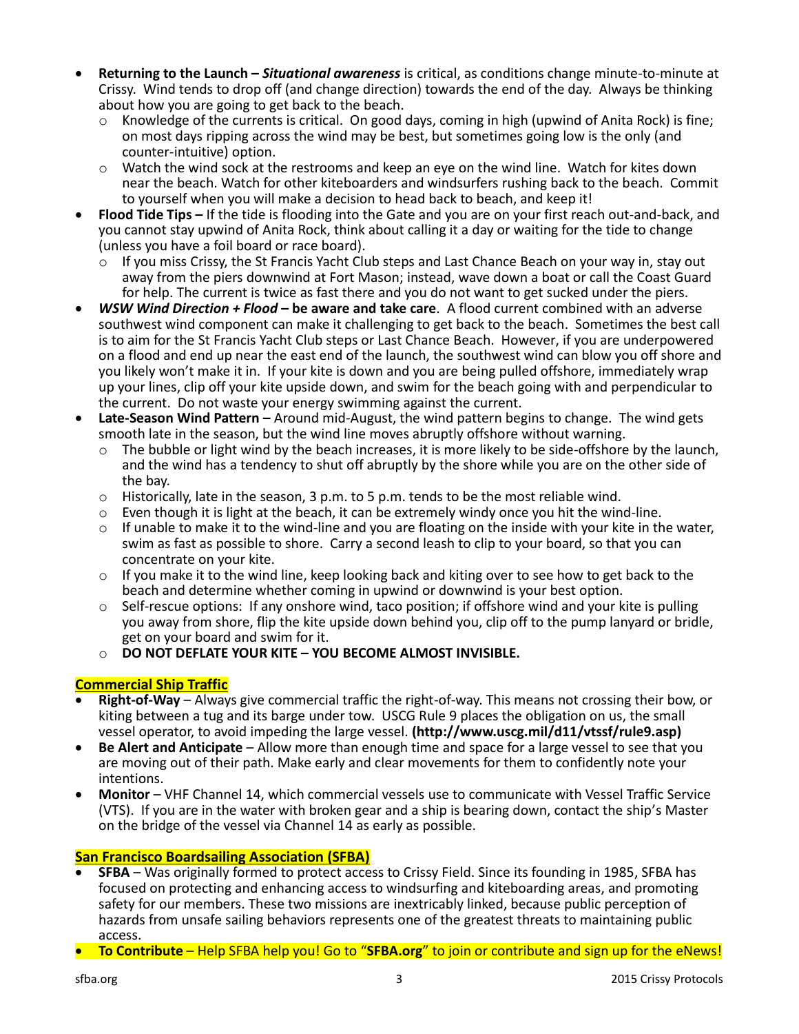- **Returning to the Launch –** *Situational awareness* is critical, as conditions change minute-to-minute at Crissy. Wind tends to drop off (and change direction) towards the end of the day. Always be thinking about how you are going to get back to the beach.
	- Knowledge of the currents is critical. On good days, coming in high (upwind of Anita Rock) is fine; on most days ripping across the wind may be best, but sometimes going low is the only (and counter-intuitive) option.
	- o Watch the wind sock at the restrooms and keep an eye on the wind line. Watch for kites down near the beach. Watch for other kiteboarders and windsurfers rushing back to the beach. Commit to yourself when you will make a decision to head back to beach, and keep it!
- **Flood Tide Tips –** If the tide is flooding into the Gate and you are on your first reach out-and-back, and you cannot stay upwind of Anita Rock, think about calling it a day or waiting for the tide to change (unless you have a foil board or race board).
	- $\circ$  If you miss Crissy, the St Francis Yacht Club steps and Last Chance Beach on your way in, stay out away from the piers downwind at Fort Mason; instead, wave down a boat or call the Coast Guard for help. The current is twice as fast there and you do not want to get sucked under the piers.
- *WSW Wind Direction + Flood* **– be aware and take care**. A flood current combined with an adverse southwest wind component can make it challenging to get back to the beach. Sometimes the best call is to aim for the St Francis Yacht Club steps or Last Chance Beach. However, if you are underpowered on a flood and end up near the east end of the launch, the southwest wind can blow you off shore and you likely won't make it in. If your kite is down and you are being pulled offshore, immediately wrap up your lines, clip off your kite upside down, and swim for the beach going with and perpendicular to the current. Do not waste your energy swimming against the current.
- **Late-Season Wind Pattern –** Around mid-August, the wind pattern begins to change. The wind gets smooth late in the season, but the wind line moves abruptly offshore without warning.
	- $\circ$  The bubble or light wind by the beach increases, it is more likely to be side-offshore by the launch, and the wind has a tendency to shut off abruptly by the shore while you are on the other side of the bay.
	- $\circ$  Historically, late in the season, 3 p.m. to 5 p.m. tends to be the most reliable wind.
	- $\circ$  Even though it is light at the beach, it can be extremely windy once you hit the wind-line.
	- $\circ$  If unable to make it to the wind-line and you are floating on the inside with your kite in the water, swim as fast as possible to shore. Carry a second leash to clip to your board, so that you can concentrate on your kite.
	- $\circ$  If you make it to the wind line, keep looking back and kiting over to see how to get back to the beach and determine whether coming in upwind or downwind is your best option.
	- $\circ$  Self-rescue options: If any onshore wind, taco position; if offshore wind and your kite is pulling you away from shore, flip the kite upside down behind you, clip off to the pump lanyard or bridle, get on your board and swim for it.
	- o **DO NOT DEFLATE YOUR KITE – YOU BECOME ALMOST INVISIBLE.**

## **Commercial Ship Traffic**

- **Right-of-Way**  Always give commercial traffic the right-of-way. This means not crossing their bow, or kiting between a tug and its barge under tow. USCG Rule 9 places the obligation on us, the small vessel operator, to avoid impeding the large vessel. **(http://www.uscg.mil/d11/vtssf/rule9.asp)**
- **Be Alert and Anticipate**  Allow more than enough time and space for a large vessel to see that you are moving out of their path. Make early and clear movements for them to confidently note your intentions.
- **Monitor**  VHF Channel 14, which commercial vessels use to communicate with Vessel Traffic Service (VTS). If you are in the water with broken gear and a ship is bearing down, contact the ship's Master on the bridge of the vessel via Channel 14 as early as possible.

## **San Francisco Boardsailing Association (SFBA)**

- **SFBA**  Was originally formed to protect access to Crissy Field. Since its founding in 1985, SFBA has focused on protecting and enhancing access to windsurfing and kiteboarding areas, and promoting safety for our members. These two missions are inextricably linked, because public perception of hazards from unsafe sailing behaviors represents one of the greatest threats to maintaining public access.
- **To Contribute** Help SFBA help you! Go to "**SFBA.org**" to join or contribute and sign up for the eNews!